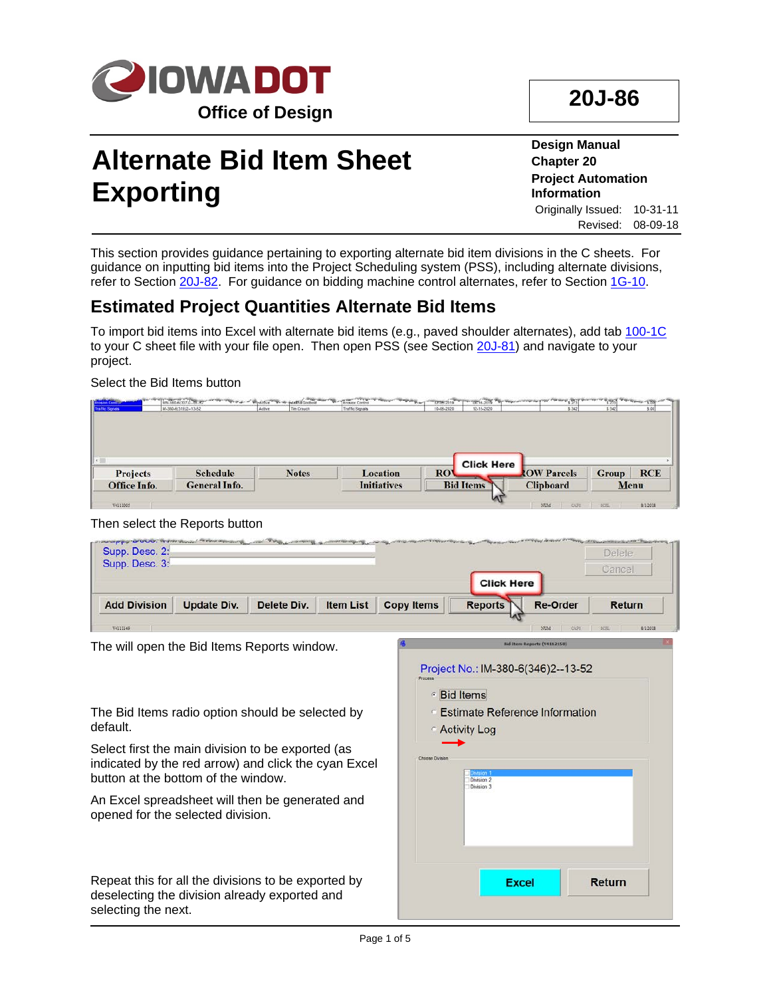

# **20J-86**

# **Alternate Bid Item Sheet Exporting**

**Design Manual Chapter 20 Project Automation Information** Originally Issued: 10-31-11 Revised: 08-09-18

This section provides guidance pertaining to exporting alternate bid item divisions in the C sheets. For guidance on inputting bid items into the Project Scheduling system (PSS), including alternate divisions, refer to Section 20J-82. For guidance on bidding machine control alternates, refer to Section 1G-10.

### **Estimated Project Quantities Alternate Bid Items**

To import bid items into Excel with alternate bid items (e.g., paved shoulder alternates), add tab 100-1C to your C sheet file with your file open. Then open PSS (see Section 20J-81) and navigate to your project.

#### Select the Bid Items button

|                 | <b>General Info.</b> |              | <b>Initiatives</b> | <b>Bid Items</b> |                   | <b>Clipboard</b>   |              | Menu       |
|-----------------|----------------------|--------------|--------------------|------------------|-------------------|--------------------|--------------|------------|
| <b>Projects</b> | <b>Schedule</b>      | <b>Notes</b> | <b>Location</b>    | <b>ROV</b>       | <b>Click Here</b> | <b>ROW Parcels</b> | <b>Group</b> | <b>RCE</b> |

#### Then select the Reports button

| Supp. Desc. 2:<br>Supp. Desc. 3:                                                                                                                 | <b>AUTORO OF THE READS AND AUTOMOBILITY</b> |             |                  |                        |                                                        |                                    | Delete<br>Cancel |
|--------------------------------------------------------------------------------------------------------------------------------------------------|---------------------------------------------|-------------|------------------|------------------------|--------------------------------------------------------|------------------------------------|------------------|
|                                                                                                                                                  |                                             |             |                  |                        | <b>Click Here</b>                                      |                                    |                  |
| <b>Add Division</b>                                                                                                                              | <b>Update Div.</b>                          | Delete Div. | <b>Item List</b> | <b>Copy Items</b>      | <b>Reports</b>                                         | <b>Re-Order</b>                    | <b>Return</b>    |
| V4111149                                                                                                                                         |                                             |             |                  |                        |                                                        |                                    | 6/1/2018         |
| The will open the Bid Items Reports window.                                                                                                      |                                             |             |                  |                        | Project No.: IM-380-6(346)2--13-52<br><b>Bid Items</b> | <b>Bid Item Reports (V4112150)</b> |                  |
| The Bid Items radio option should be selected by<br>default.                                                                                     |                                             |             |                  |                        | <b>Estimate Reference Information</b><br>Activity Log  |                                    |                  |
| Select first the main division to be exported (as<br>indicated by the red arrow) and click the cyan Excel<br>button at the bottom of the window. |                                             |             |                  | <b>Chanse Division</b> | sion:<br>Division 2<br>Division 3                      |                                    |                  |
| An Excel spreadsheet will then be generated and<br>opened for the selected division.                                                             |                                             |             |                  |                        |                                                        |                                    |                  |
| Repeat this for all the divisions to be exported by<br>deselecting the division already exported and<br>selecting the next.                      |                                             |             |                  |                        | <b>Excel</b>                                           |                                    | <b>Return</b>    |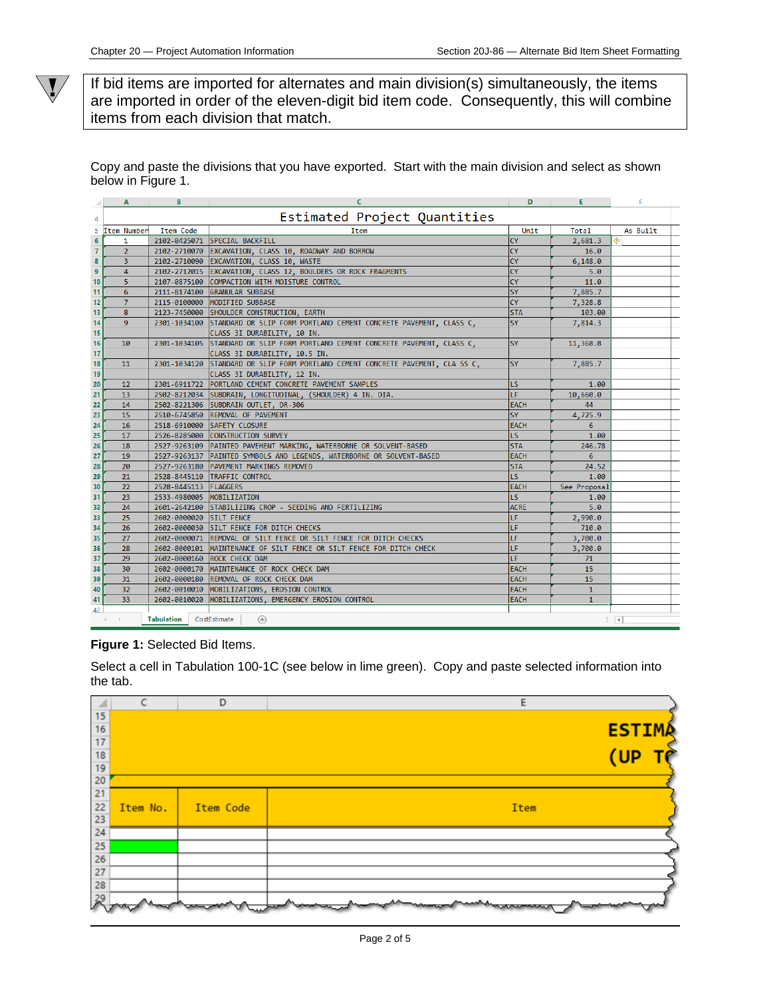$\sqrt{\ }$ 

If bid items are imported for alternates and main division(s) simultaneously, the items are imported in order of the eleven-digit bid item code. Consequently, this will combine items from each division that match.

Copy and paste the divisions that you have exported. Start with the main division and select as shown below in Figure 1.

|                | A              | в                         |                                                                                 | D           | в              |                          |  |
|----------------|----------------|---------------------------|---------------------------------------------------------------------------------|-------------|----------------|--------------------------|--|
| 4              |                |                           | Estimated Project Quantities                                                    |             |                |                          |  |
|                | 5 Item Number  | <b>Item Code</b>          | Item                                                                            | Unit        | Total          | As Built                 |  |
| $\overline{6}$ | 1              |                           | 2102-0425071 SPECIAL BACKFILL                                                   | <b>CY</b>   | 2,681.3        |                          |  |
| $\overline{7}$ | $\overline{2}$ |                           | 2102-2710070 EXCAVATION, CLASS 10, ROADWAY AND BORROW                           | <b>CY</b>   | 16.0           |                          |  |
| 8              | 3              |                           | 2102-2710090 EXCAVATION, CLASS 10, WASTE                                        | <b>CY</b>   | 6,148.0        |                          |  |
| $\mathbf{9}$   | 4              |                           | 2102-2712015 EXCAVATION, CLASS 12, BOULDERS OR ROCK FRAGMENTS                   | <b>CY</b>   | 5.0            |                          |  |
| 10             | 5              |                           | 2107-0875100 COMPACTION WITH MOISTURE CONTROL                                   | <b>CY</b>   | 11.0           |                          |  |
| 11             | 6              |                           | 2111-8174100 GRANULAR SUBBASE                                                   | <b>SY</b>   | 7,885.7        |                          |  |
| 12             | $\overline{7}$ |                           | 2115-0100000 MODIFIED SUBBASE                                                   | <b>CY</b>   | 7,328.8        |                          |  |
| 13             | 8              |                           | 2123-7450000 SHOULDER CONSTRUCTION, EARTH                                       | <b>STA</b>  | 103.00         |                          |  |
| 14             | 9              |                           | 2301-1034100 STANDARD OR SLIP FORM PORTLAND CEMENT CONCRETE PAVEMENT, CLASS C,  | <b>SY</b>   | 7,814.3        |                          |  |
| 15             |                |                           | CLASS 3I DURABILITY, 10 IN.                                                     |             |                |                          |  |
| 16             | 10             |                           | 2301-1034105 STANDARD OR SLIP FORM PORTLAND CEMENT CONCRETE PAVEMENT, CLASS C,  | <b>SY</b>   | 11,368.8       |                          |  |
| 17             |                |                           | CLASS 3I DURABILITY, 10.5 IN.                                                   |             |                |                          |  |
| 18             | 11             |                           | 2301-1034120 STANDARD OR SLIP FORM PORTLAND CEMENT CONCRETE PAVEMENT, CLA SS C, | <b>SY</b>   | 7,885.7        |                          |  |
| 19             |                |                           | CLASS 3I DURABILITY, 12 IN.                                                     |             |                |                          |  |
| 20             | 12             |                           | 2301-6911722 PORTLAND CEMENT CONCRETE PAVEMENT SAMPLES                          | LS.         | 1.00           |                          |  |
| 21             | 13             |                           | 2502-8212034 SUBDRAIN, LONGITUDINAL, (SHOULDER) 4 IN. DIA.                      | TF.         | 10,660.0       |                          |  |
| 22             | 14             |                           | 2502-8221306 SUBDRAIN OUTLET, DR-306                                            | <b>EACH</b> | 44             |                          |  |
| 23             | 15             |                           | 2510-6745850 REMOVAL OF PAVEMENT                                                | <b>SY</b>   | 4,725.9        |                          |  |
| 24             | 16             |                           | 2518-6910000 SAFETY CLOSURE                                                     | <b>EACH</b> | 6              |                          |  |
| 25             | 17             |                           | 2526-8285000 CONSTRUCTION SURVEY                                                | LS.         | 1.00           |                          |  |
| 26             | 18             |                           | 2527-9263109 PAINTED PAVEMENT MARKING, WATERBORNE OR SOLVENT-BASED              | <b>STA</b>  | 246.78         |                          |  |
| 27             | 19             |                           | 2527-9263137 PAINTED SYMBOLS AND LEGENDS, WATERBORNE OR SOLVENT-BASED           | <b>EACH</b> | 6              |                          |  |
| 28             | 20             |                           | 2527-9263180 PAVEMENT MARKINGS REMOVED                                          | <b>STA</b>  | 24.52          |                          |  |
| 29             | 21             |                           | 2528-8445110 TRAFFIC CONTROL                                                    | LS.         | 1.00           |                          |  |
| 30             | 22             | 2528-8445113   FLAGGERS   |                                                                                 | <b>EACH</b> | See Proposal   |                          |  |
| 31             | 23             | 2533-4980005 MOBILIZATION |                                                                                 | LS.         | 1.00           |                          |  |
| 32             | 24             |                           | 2601-2642100 STABILIZING CROP - SEEDING AND FERTILIZING                         | <b>ACRE</b> | 5.0            |                          |  |
| 33             | 25             | 2602-0000020 SILT FENCE   |                                                                                 | LF          | 2,990.0        |                          |  |
| 34             | 26             |                           | 2602-0000030 SILT FENCE FOR DITCH CHECKS                                        | LF          | 710.0          |                          |  |
| 35             | 27             |                           | 2602-0000071 REMOVAL OF SILT FENCE OR SILT FENCE FOR DITCH CHECKS               | LF          | 3,700.0        |                          |  |
| 36             | 28             | 2602-0000101              | MAINTENANCE OF SILT FENCE OR SILT FENCE FOR DITCH CHECK                         | LF          | 3,700.0        |                          |  |
| 37             | 29             | 2602-0000160              | ROCK CHECK DAM                                                                  | LF.         | 71             |                          |  |
| 38             | 30             | 2602-0000170              | MAINTENANCE OF ROCK CHECK DAM                                                   | <b>EACH</b> | 15             |                          |  |
| 39             | 31             |                           | 2602-0000180 REMOVAL OF ROCK CHECK DAM                                          | <b>EACH</b> | 15             |                          |  |
| 40             | 32             |                           | 2602-0010010 MOBILIZATIONS, EROSION CONTROL                                     | <b>EACH</b> | $\mathbf{1}$   |                          |  |
| 41             | 33             |                           | 2602-0010020 MOBILIZATIONS, EMERGENCY EROSION CONTROL                           | <b>EACH</b> | $\overline{1}$ |                          |  |
| 42             |                |                           |                                                                                 |             |                |                          |  |
|                | $\leftarrow$   | <b>Tabulation</b>         | CostEstimate<br>$\bigoplus$                                                     |             |                | $\mathbb{E}[\mathbb{R}]$ |  |
|                |                |                           |                                                                                 |             |                |                          |  |

**Figure 1:** Selected Bid Items.

Select a cell in Tabulation 100-1C (see below in lime green). Copy and paste selected information into the tab.

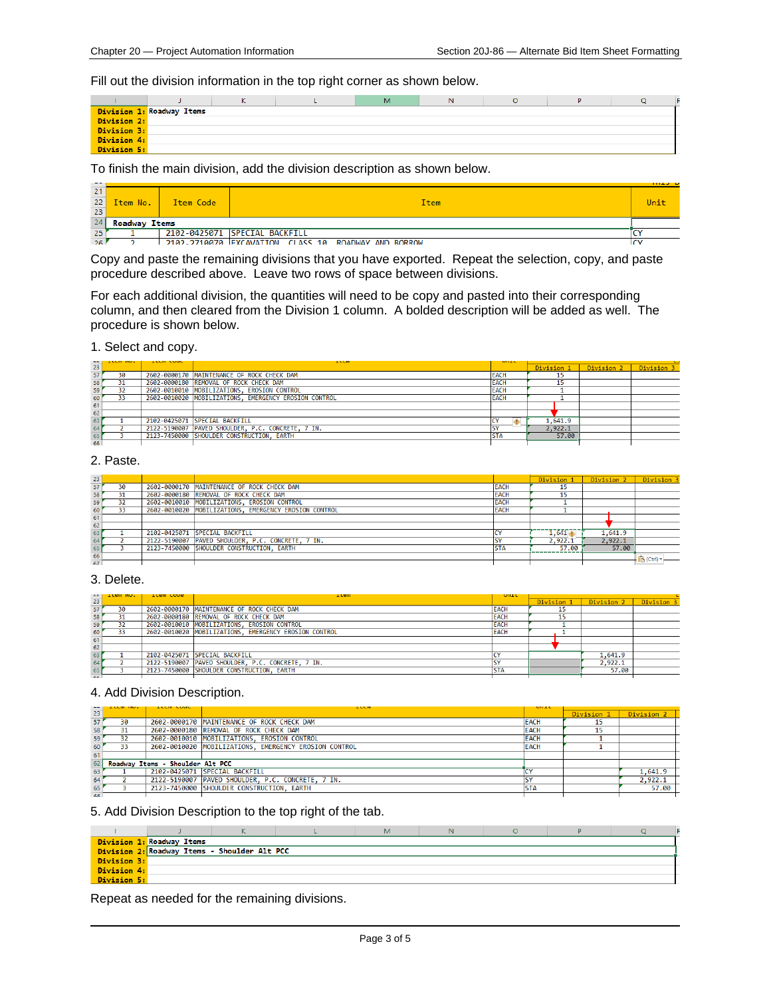Fill out the division information in the top right corner as shown below.

|             |                           | N. | м | N |  |  |
|-------------|---------------------------|----|---|---|--|--|
|             | Division 1: Roadway Items |    |   |   |  |  |
| Division 2: |                           |    |   |   |  |  |
| Division 3: |                           |    |   |   |  |  |
| Division 4: |                           |    |   |   |  |  |
| Division 5: |                           |    |   |   |  |  |

#### To finish the main division, add the division description as shown below.

| 22 | Item No.             | Item Code | Item                                                | Unit |
|----|----------------------|-----------|-----------------------------------------------------|------|
| 23 |                      |           |                                                     |      |
| 24 | <b>Roadway Items</b> |           |                                                     |      |
| 25 |                      |           | 2102-0425071 SPECIAL BACKFILL                       |      |
| 26 |                      |           | 2102-2710070 FXCAVATION CLASS 10 ROADWAY AND BORROW |      |

Copy and paste the remaining divisions that you have exported. Repeat the selection, copy, and paste procedure described above. Leave two rows of space between divisions.

For each additional division, the quantities will need to be copy and pasted into their corresponding column, and then cleared from the Division 1 column. A bolded description will be added as well. The procedure is shown below.

#### 1. Select and copy.

|                 | <b>ANGHERST</b> | <b>AUGUST STATE</b> | <b>ALCOHOL</b>                                        | <b>MARINE</b>           |            |            |            |
|-----------------|-----------------|---------------------|-------------------------------------------------------|-------------------------|------------|------------|------------|
| $\overline{23}$ |                 |                     |                                                       |                         | Division 1 | Division 2 | Division 3 |
| 57'             | 30              |                     | 2602-0000170 MAINTENANCE OF ROCK CHECK DAM            | <b>EACH</b>             | ┚          |            |            |
| 58              | 31              |                     | 2602-0000180 REMOVAL OF ROCK CHECK DAM                | <b>EACH</b>             |            |            |            |
| 59              | 32              |                     | 2602-0010010 MOBILIZATIONS, EROSION CONTROL           | <b>EACH</b>             |            |            |            |
| 60              | 33              |                     | 2602-0010020 MOBILIZATIONS, EMERGENCY EROSION CONTROL | <b>EACH</b>             |            |            |            |
| 61              |                 |                     |                                                       |                         |            |            |            |
| 62              |                 |                     |                                                       |                         |            |            |            |
| 63              |                 |                     | 2102-0425071 SPECIAL BACKFILL                         |                         | 1,641.9    |            |            |
| 64              |                 |                     | 2122-5190007 PAVED SHOULDER, P.C. CONCRETE, 7 IN.     | $\overline{\mathbf{c}}$ | 2,922.1    |            |            |
| 65              |                 |                     | 2123-7450000 SHOULDER CONSTRUCTION, EARTH             |                         | 57.00      |            |            |
| 66              |                 |                     |                                                       |                         |            |            |            |

#### 2. Paste.

| 23 |    |                                                       |             | Division          | Division 2 | Division 3 |
|----|----|-------------------------------------------------------|-------------|-------------------|------------|------------|
| 57 | 30 | 2602-0000170 MAINTENANCE OF ROCK CHECK DAM            | <b>EACH</b> | 15                |            |            |
| 58 | 31 | 2602-0000180 REMOVAL OF ROCK CHECK DAM                | <b>EACH</b> | 15                |            |            |
| 59 | 32 | 2602-0010010 MOBILIZATIONS, EROSION CONTROL           | <b>EACH</b> |                   |            |            |
| 60 | 33 | 2602-0010020 MOBILIZATIONS, EMERGENCY EROSION CONTROL | <b>EACH</b> |                   |            |            |
| 61 |    |                                                       |             |                   |            |            |
| 62 |    |                                                       |             |                   |            |            |
| 63 |    | 2102-0425071 SPECIAL BACKFILL                         |             | $1,641$ $\bullet$ | 1,641.9    |            |
| 64 |    | 2122-5190007 PAVED SHOULDER, P.C. CONCRETE, 7 IN.     |             | 2,922.1           | 2.922.1    |            |
| 65 |    | 2123-7450000 SHOULDER CONSTRUCTION, EARTH             | <b>STA</b>  | 57.00             | 57.00      |            |
| 66 |    |                                                       |             |                   |            | Ctrl)      |
| 67 |    |                                                       |             |                   |            |            |

#### 3. Delete.

|     |                          | -Tran cona | 1 ram                                                 | UILL        |            |            |            |
|-----|--------------------------|------------|-------------------------------------------------------|-------------|------------|------------|------------|
|     | $\frac{22}{23}$ item no. |            |                                                       |             | Division 1 | Division 2 | Division 3 |
| 57' | 30                       |            | 2602-0000170 MAINTENANCE OF ROCK CHECK DAM            | <b>EACH</b> |            |            |            |
| 58  |                          |            | 2602-0000180 REMOVAL OF ROCK CHECK DAM                | <b>EACH</b> |            |            |            |
| 59  | 32                       |            | 2602-0010010 MOBILIZATIONS, EROSION CONTROL           | <b>EACH</b> |            |            |            |
| 60  | 33                       |            | 2602-0010020 MOBILIZATIONS, EMERGENCY EROSION CONTROL | <b>EACH</b> |            |            |            |
| 61  |                          |            |                                                       |             |            |            |            |
| 62  |                          |            |                                                       |             |            |            |            |
| 63  |                          |            | 2102-0425071 SPECIAL BACKFILL                         |             |            | 1,641.9    |            |
| 64  |                          |            | 2122-5190007 PAVED SHOULDER, P.C. CONCRETE, 7 IN.     |             |            | 2,922.1    |            |
| 65  |                          |            | 2123-7450000 SHOULDER CONSTRUCTION, EARTH             |             |            | 57.00      |            |
| cc  |                          |            |                                                       |             |            |            |            |

#### 4. Add Division Description.

|           | .  | <b>ALCOHOL VIOLE</b>             | <b>ALCOHOL:</b>                                       | <b>MARINE</b> |            |            |  |
|-----------|----|----------------------------------|-------------------------------------------------------|---------------|------------|------------|--|
| 23        |    |                                  |                                                       |               | Division 1 | Division 2 |  |
| 57        | 30 |                                  | 2602-0000170 MAINTENANCE OF ROCK CHECK DAM            | <b>EACH</b>   | 15         |            |  |
| 58        |    |                                  | 2602-0000180 REMOVAL OF ROCK CHECK DAM                | <b>EACH</b>   |            |            |  |
| 59        | 32 |                                  | 2602-0010010 MOBILIZATIONS, EROSION CONTROL           | <b>EACH</b>   |            |            |  |
| 60        |    |                                  | 2602-0010020 MOBILIZATIONS, EMERGENCY EROSION CONTROL | <b>EACH</b>   |            |            |  |
| 61        |    |                                  |                                                       |               |            |            |  |
| 62        |    | Roadway Items - Shoulder Alt PCC |                                                       |               |            |            |  |
| 63        |    |                                  | 2102-0425071 SPECIAL BACKFILL                         |               |            | 1,641.9    |  |
| 64        |    |                                  | 2122-5190007 PAVED SHOULDER, P.C. CONCRETE, 7 IN.     |               |            | 2,922.1    |  |
| 65        |    |                                  | 2123-7450000 SHOULDER CONSTRUCTION, EARTH             | <b>STA</b>    |            | 57.00      |  |
| <b>GG</b> |    |                                  |                                                       |               |            |            |  |

#### 5. Add Division Description to the top right of the tab.

|             | Division 1: Roadway Items |                                              |  |  |  |
|-------------|---------------------------|----------------------------------------------|--|--|--|
|             |                           | Division 2: Roadway Items - Shoulder Alt PCC |  |  |  |
| Division 3: |                           |                                              |  |  |  |
| Division 4: |                           |                                              |  |  |  |
| Division 5: |                           |                                              |  |  |  |

Repeat as needed for the remaining divisions.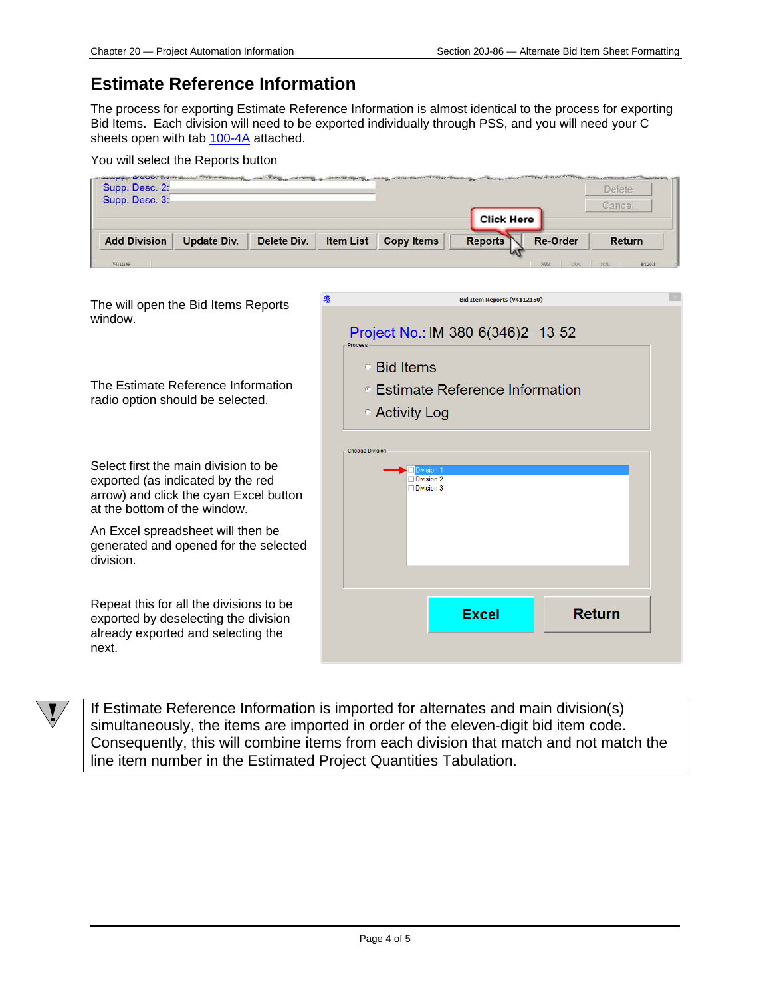### **Estimate Reference Information**

The process for exporting Estimate Reference Information is almost identical to the process for exporting Bid Items. Each division will need to be exported individually through PSS, and you will need your C sheets open with tab 100-4A attached.

| You will select the Reports button |  |
|------------------------------------|--|
|------------------------------------|--|

| <b>Add Division</b>              | Update Div. | Delete Div. | <b>Item List</b> | <b>Copy Items</b> | <b>Reports</b>    | <b>Re-Order</b> | <b>Return</b> |
|----------------------------------|-------------|-------------|------------------|-------------------|-------------------|-----------------|---------------|
|                                  |             |             |                  |                   | <b>Click Here</b> |                 | Cancel        |
| Supp. Desc. 2:<br>Supp. Desc. 3: |             |             |                  |                   |                   |                 | Delete        |

| The will open the Bid Items Reports<br>window.                                                                                                      | <b>Bid Item Reports (V4112150)</b><br>Project No.: IM-380-6(346)2--13-52<br>Process |
|-----------------------------------------------------------------------------------------------------------------------------------------------------|-------------------------------------------------------------------------------------|
| The Estimate Reference Information<br>radio option should be selected.                                                                              | ○ Bid Items<br>⊕ Estimate Reference Information<br>○ Activity Log                   |
| Select first the main division to be<br>exported (as indicated by the red<br>arrow) and click the cyan Excel button<br>at the bottom of the window. | <b>Choose Division</b><br>Division 2<br>Division 3                                  |
| An Excel spreadsheet will then be<br>generated and opened for the selected<br>division.                                                             |                                                                                     |
| Repeat this for all the divisions to be<br>exported by deselecting the division<br>already exported and selecting the<br>next.                      | <b>Excel</b><br>Return                                                              |



If Estimate Reference Information is imported for alternates and main division(s) simultaneously, the items are imported in order of the eleven-digit bid item code. Consequently, this will combine items from each division that match and not match the line item number in the Estimated Project Quantities Tabulation.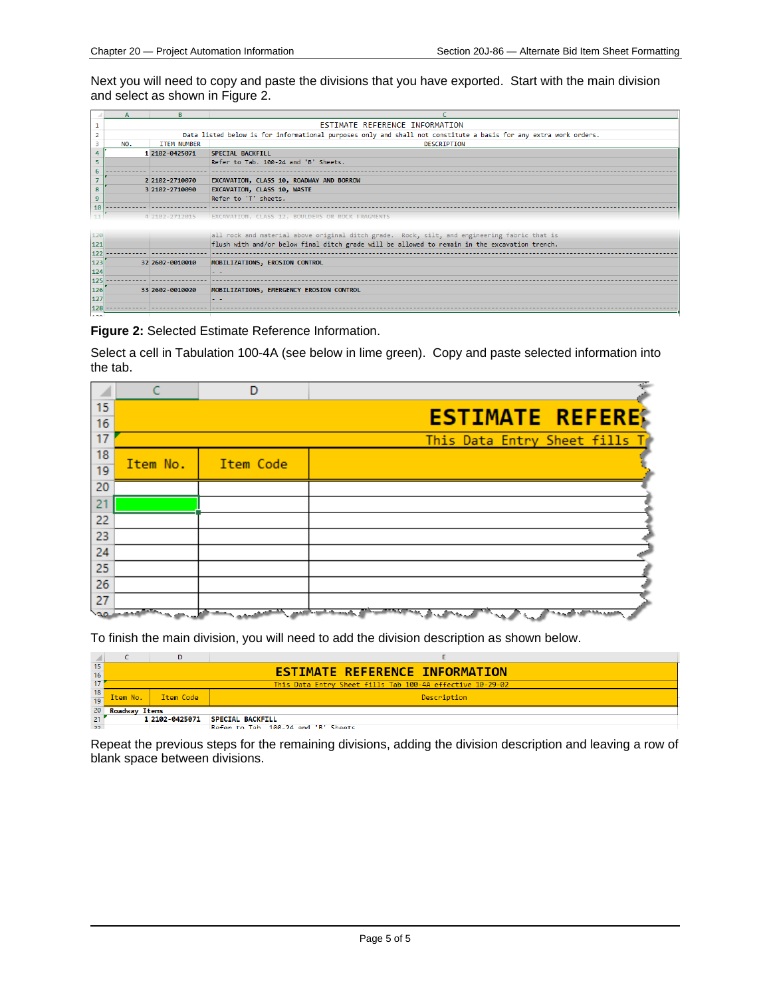Next you will need to copy and paste the divisions that you have exported. Start with the main division and select as shown in Figure 2.

|     | $\mathbf{A}$                   | R                                                                                                                |                                                                                               |  |
|-----|--------------------------------|------------------------------------------------------------------------------------------------------------------|-----------------------------------------------------------------------------------------------|--|
|     | ESTIMATE REFERENCE INFORMATION |                                                                                                                  |                                                                                               |  |
|     |                                | Data listed below is for informational purposes only and shall not constitute a basis for any extra work orders. |                                                                                               |  |
|     | NO.                            | ITEM NUMBER                                                                                                      | DESCRIPTION                                                                                   |  |
|     |                                | 1 2102-0425071                                                                                                   | <b>SPECIAL BACKFILL</b>                                                                       |  |
|     |                                |                                                                                                                  | Refer to Tab. 100-24 and 'B' Sheets.                                                          |  |
|     |                                |                                                                                                                  |                                                                                               |  |
|     |                                | 2 2102-2710070                                                                                                   | EXCAVATION, CLASS 10, ROADWAY AND BORROW                                                      |  |
|     |                                | 3 2102-2710090                                                                                                   | EXCAVATION, CLASS 10, WASTE                                                                   |  |
|     |                                |                                                                                                                  | Refer to 'T' sheets.                                                                          |  |
|     |                                |                                                                                                                  |                                                                                               |  |
|     |                                | 4 2102-2712015                                                                                                   | EXCAVATION, CLASS 12, BOULDERS OR ROCK FRAGMENTS                                              |  |
|     |                                |                                                                                                                  |                                                                                               |  |
| 120 |                                |                                                                                                                  | all rock and material above original ditch grade. Rock, silt, and engineering fabric that is  |  |
| 121 |                                |                                                                                                                  | flush with and/or below final ditch grade will be allowed to remain in the excavation trench. |  |
| 122 |                                |                                                                                                                  |                                                                                               |  |
| 123 |                                | 32 2602-0010010                                                                                                  | MOBILIZATIONS, EROSION CONTROL                                                                |  |
| 124 |                                |                                                                                                                  | - -                                                                                           |  |
| 125 |                                |                                                                                                                  |                                                                                               |  |
| 126 |                                | 33 2602-0010020                                                                                                  | MOBILIZATIONS, EMERGENCY EROSION CONTROL                                                      |  |
| 127 |                                |                                                                                                                  | - -                                                                                           |  |
| 128 |                                |                                                                                                                  |                                                                                               |  |
| 120 |                                |                                                                                                                  |                                                                                               |  |

#### **Figure 2:** Selected Estimate Reference Information.

Select a cell in Tabulation 100-4A (see below in lime green). Copy and paste selected information into the tab.

|    |          | D         |                               |
|----|----------|-----------|-------------------------------|
| 15 |          |           |                               |
| 16 |          |           | <b>ESTIMATE REFERE</b>        |
| 17 |          |           | This Data Entry Sheet fills T |
| 18 | Item No. | Item Code |                               |
| 19 |          |           |                               |
| 20 |          |           |                               |
| 21 |          |           |                               |
| 22 |          |           |                               |
| 23 |          |           |                               |
| 24 |          |           |                               |
| 25 |          |           |                               |
| 26 |          |           |                               |
| 27 |          |           |                               |
|    |          |           |                               |

To finish the main division, you will need to add the division description as shown below.

| 15                                               |                                                           |                |                                       |
|--------------------------------------------------|-----------------------------------------------------------|----------------|---------------------------------------|
| 16                                               |                                                           |                | <b>ESTIMATE REFERENCE INFORMATION</b> |
|                                                  | This Data Entry Sheet fills Tab 100-4A effective 10-29-02 |                |                                       |
| $\begin{array}{c c} 18 \\ \hline 19 \end{array}$ | Item No.                                                  | Item Code      | Description                           |
|                                                  |                                                           |                |                                       |
| 20                                               | <b>Roadway Items</b>                                      |                |                                       |
| 21                                               |                                                           | 1 2102-0425071 | <b>SPECIAL BACKFILL</b>               |
| 22                                               |                                                           |                | Refer to Tah 100-24 and 'B' Sheets    |

Repeat the previous steps for the remaining divisions, adding the division description and leaving a row of blank space between divisions.